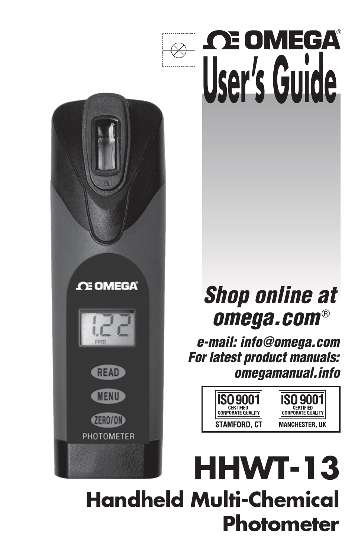



# Shop online at omega.com®

e-mail: info@omega.com For latest product manuals: omegamanual.info



ISO 900 **CERTIFIED MANCHESTER, UK** 

# **HHWT-13 Handheld Multi-Chemical Photometer**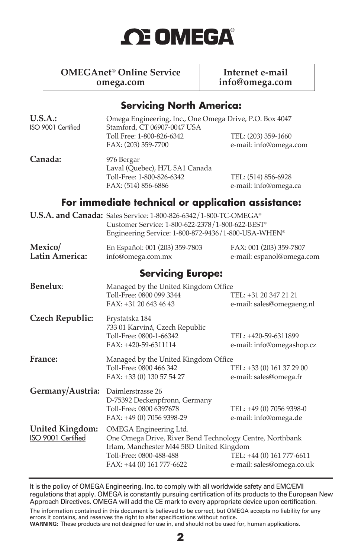

# **OMEGAnet**® **Online Service Internet e-mail**

**omega.com info@omega.com**

#### **Servicing North America:**

| U.S.A.:<br>ISO 9001 Certified                | Omega Engineering, Inc., One Omega Drive, P.O. Box 4047<br>Stamford, CT 06907-0047 USA<br>Toll Free: 1-800-826-6342<br>FAX: (203) 359-7700                                             | TEL: (203) 359-1660<br>e-mail: info@omega.com          |
|----------------------------------------------|----------------------------------------------------------------------------------------------------------------------------------------------------------------------------------------|--------------------------------------------------------|
| Canada:                                      | 976 Bergar<br>Laval (Quebec), H7L 5A1 Canada<br>Toll-Free: 1-800-826-6342<br>FAX: (514) 856-6886                                                                                       | TEL: (514) 856-6928<br>e-mail: info@omega.ca           |
|                                              | For immediate technical or application assistance:                                                                                                                                     |                                                        |
|                                              | U.S.A. and Canada: Sales Service: 1-800-826-6342/1-800-TC-OMEGA®<br>Customer Service: 1-800-622-2378/1-800-622-BEST®<br>Engineering Service: 1-800-872-9436/1-800-USA-WHEN®            |                                                        |
| Mexico/<br>Latin America:                    | En Español: 001 (203) 359-7803<br>info@omega.com.mx                                                                                                                                    | FAX: 001 (203) 359-7807<br>e-mail: espanol@omega.com   |
|                                              | <b>Servicing Europe:</b>                                                                                                                                                               |                                                        |
| Benelux:                                     | Managed by the United Kingdom Office<br>Toll-Free: 0800 099 3344<br>FAX: +31 20 643 46 43                                                                                              | TEL: +31 20 347 21 21<br>e-mail: sales@omegaeng.nl     |
| <b>Czech Republic:</b>                       | Frystatska 184<br>733 01 Karviná, Czech Republic<br>Toll-Free: 0800-1-66342<br>FAX: +420-59-6311114                                                                                    | TEL: +420-59-6311899<br>e-mail: info@omegashop.cz      |
| France:                                      | Managed by the United Kingdom Office<br>Toll-Free: 0800 466 342<br>FAX: +33 (0) 130 57 54 27                                                                                           | TEL: +33 (0) 161 37 29 00<br>e-mail: sales@omega.fr    |
| Germany/Austria:                             | Daimlerstrasse 26<br>D-75392 Deckenpfronn, Germany<br>Toll-Free: 0800 6397678<br>FAX: +49 (0) 7056 9398-29                                                                             | TEL: +49 (0) 7056 9398-0<br>e-mail: info@omega.de      |
| <b>United Kingdom:</b><br>ISO 9001 Certified | OMEGA Engineering Ltd.<br>One Omega Drive, River Bend Technology Centre, Northbank<br>Irlam, Manchester M44 5BD United Kingdom<br>Toll-Free: 0800-488-488<br>FAX: +44 (0) 161 777-6622 | TEL: +44 (0) 161 777-6611<br>e-mail: sales@omega.co.uk |

It is the policy of OMEGA Engineering, Inc. to comply with all worldwide safety and EMC/EMI regulations that apply. OMEGA is constantly pursuing certification of its products to the European New Approach Directives. OMEGA will add the CE mark to every appropriate device upon certification. The information contained in this document is believed to be correct, but OMEGA accepts no liability for any errors it contains, and reserves the right to alter specifications without notice.

**WARNING:** These products are not designed for use in, and should not be used for, human applications.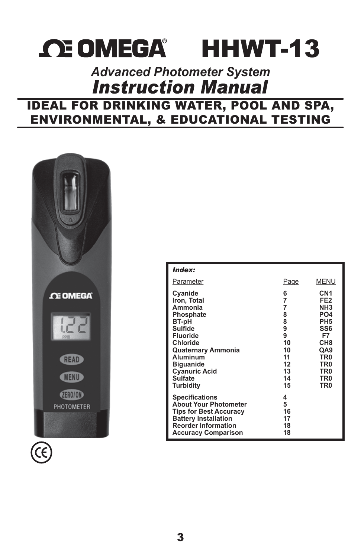# **OE OMEGA** HHWT-13

# *Advanced Photometer System*

# IDEAL FOR DRINKING WATER, POOL AND SPA, ENVIRONMENTAL, & EDUCATIONAL TESTING



| Index:                                                                                                                                                                                                                       |                                                                           |                                                                                                                                                                                                                                   |
|------------------------------------------------------------------------------------------------------------------------------------------------------------------------------------------------------------------------------|---------------------------------------------------------------------------|-----------------------------------------------------------------------------------------------------------------------------------------------------------------------------------------------------------------------------------|
| Parameter                                                                                                                                                                                                                    | <u>Page</u>                                                               | MENU                                                                                                                                                                                                                              |
| Cyanide<br>Iron, Total<br>Ammonia<br>Phosphate<br>BT-pH<br>Sulfide<br><b>Fluoride</b><br><b>Chloride</b><br><b>Quaternary Ammonia</b><br>Aluminum<br><b>Biguanide</b><br><b>Cyanuric Acid</b><br><b>Sulfate</b><br>Turbidity | 6<br>7<br>7<br>8<br>8<br>9<br>9<br>10<br>10<br>11<br>12<br>13<br>14<br>15 | CN <sub>1</sub><br>FE <sub>2</sub><br>NH <sub>3</sub><br>PO <sub>4</sub><br>PH <sub>5</sub><br>SS6<br>F7<br>CH <sub>8</sub><br>QA9<br>TR <sub>0</sub><br>TR <sub>0</sub><br>TR <sub>0</sub><br>TR <sub>0</sub><br>TR <sub>0</sub> |
| <b>Specifications</b><br><b>About Your Photometer</b><br><b>Tips for Best Accuracy</b><br><b>Battery Installation</b><br><b>Reorder Information</b><br><b>Accuracy Comparison</b>                                            | 4<br>5<br>16<br>17<br>18<br>18                                            |                                                                                                                                                                                                                                   |

 $\epsilon$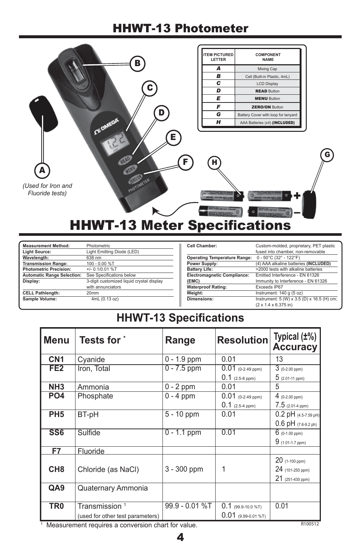### HHWT-13 Photometer

| В                                                                                                               | <b>ITEM PICTURED</b><br>LETTER<br>A<br>B<br>C<br>D<br>E | <b>COMPONENT</b><br><b>NAME</b><br>Mixing Cap<br>Cell (Built-in Plastic, 4mL)<br><b>LCD Display</b><br><b>READ Button</b><br><b>MENU Button</b> |   |
|-----------------------------------------------------------------------------------------------------------------|---------------------------------------------------------|-------------------------------------------------------------------------------------------------------------------------------------------------|---|
|                                                                                                                 | F<br>G                                                  | <b>ZERO/ON Button</b><br>Battery Cover with loop for lanyard                                                                                    |   |
| <b>CE OMEGA</b><br>E.<br>F<br>A<br>(Used for Iron and<br>Fluoride tests)<br><b>HHWT-13 Meter Specifications</b> | H<br>н<br><b>COLUMN 1800 IN 18</b>                      | AAA Batteries (x4) (INCLUDED)<br>$^{\circ}$                                                                                                     | G |

| <b>Measurement Method:</b>        | <b>Photometric</b>                        |
|-----------------------------------|-------------------------------------------|
| <b>Light Source:</b>              | Light Emitting Diode (LED)                |
| Wavelength:                       | 638 nm                                    |
| <b>Transmission Range:</b>        | 100 - 0.00 %T                             |
| <b>Photometric Precision:</b>     | $+/- 0.1/0.01$ %T                         |
| <b>Automatic Range Selection:</b> | See Specifications below                  |
| Display:                          | 3-digit customized liquid crystal display |
|                                   | with annunciators                         |
| <b>CELL Pathlength:</b>           | 20 <sub>mm</sub>                          |
| Sample Volume:                    | 4mL (0.13 oz)                             |
|                                   |                                           |

| Cell Chamber:                       | Custom-molded, proprietary, PET plastic<br>fused into chamber, non-removable |
|-------------------------------------|------------------------------------------------------------------------------|
| <b>Operating Temperature Range:</b> | $0 - 50^{\circ}$ C (32° - 122°F)                                             |
| Power Supply:                       | (4) AAA alkaline batteries (INCLUDED)                                        |
| <b>Battery Life:</b>                | >2000 tests with alkaline batteries                                          |
| Electromagnetic Compliance:         | Emitted Interference - EN 61326                                              |
| (EMC)                               | Immunity to Interference - EN 61326                                          |
| <b>Waterproof Rating:</b>           | <b>Exceeds IP67</b>                                                          |
| Weight:                             | Instrument: $140 g (5 oz)$                                                   |
| Dimensions:                         | Instrument: 5 (W) x 3.5 (D) x 16.5 (H) cm;                                   |
|                                     | $(2 \times 1.4 \times 6.375)$ in)                                            |

# **HHWT-13 Specifications**

| l Menu          | Tests for *                      | Range          | <b>Resolution</b>     | Typical $(\pm\%)$<br><b>Accuracy</b> |
|-----------------|----------------------------------|----------------|-----------------------|--------------------------------------|
| CN <sub>1</sub> | Cyanide                          | $0 - 1.9$ ppm  | 0.01                  | 13                                   |
| FE2             | Iron, Total                      | $0 - 7.5$ ppm  | $0.01$ (0-2.49 ppm)   | $3(0-2.00 ppm)$                      |
|                 |                                  |                | $0.1$ (2.5-8 ppm)     | $5(2.01-11 ppm)$                     |
| NH <sub>3</sub> | Ammonia                          | $0 - 2$ ppm    | 0.01                  | 5                                    |
| PO <sub>4</sub> | Phosphate                        | $0 - 4$ ppm    | $0.01$ (0-2.49 ppm)   | $4$ (0-2.00 ppm)                     |
|                 |                                  |                | $0.1$ (2.5-4 ppm)     | $7.5$ (2.01-4 ppm)                   |
| PH <sub>5</sub> | BT-pH                            | 5 - 10 ppm     | 0.01                  | 0.2 pH (4.5-7.59 pH)                 |
|                 |                                  |                |                       | $0.6$ pH (7.6-9.2 ph)                |
| SS <sub>6</sub> | Sulfide                          | $0 - 1.1$ ppm  | 0.01                  | $6$ (0-1.00 ppm)                     |
|                 |                                  |                |                       | $9(1.01-1.7 ppm)$                    |
| F7              | Fluoride                         |                |                       |                                      |
|                 |                                  |                |                       | $20$ (1-100 ppm)                     |
| CH <sub>8</sub> | Chloride (as NaCl)               | 3 - 300 ppm    |                       | 24 (101-250 ppm)                     |
|                 |                                  |                |                       | 21 (251-430 ppm)                     |
| QA9             | Quaternary Ammonia               |                |                       |                                      |
|                 |                                  |                |                       |                                      |
| TR <sub>0</sub> | Transmission <sup>1</sup>        | 99.9 - 0.01 %T | $0.1$ (99.9-10.0 %T)  | 0.01                                 |
|                 | (used for other test parameters) |                | $0.01$ (9.99-0.01 %T) |                                      |

<sup>1</sup> Measurement requires a conversion chart for value.

R100512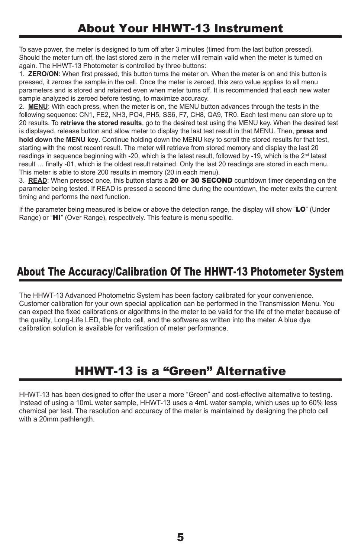## About Your HHWT-13 Instrument

To save power, the meter is designed to turn off after 3 minutes (timed from the last button pressed). Should the meter turn off, the last stored zero in the meter will remain valid when the meter is turned on again. The HHWT-13 Photometer is controlled by three buttons:

1. **ZERO/ON**: When first pressed, this button turns the meter on. When the meter is on and this button is pressed, it zeroes the sample in the cell. Once the meter is zeroed, this zero value applies to all menu parameters and is stored and retained even when meter turns off. It is recommended that each new water sample analyzed is zeroed before testing, to maximize accuracy.

2. **MENU:** With each press, when the meter is on, the MENU button advances through the tests in the following sequence: CN1, FE2, NH3, PO4, PH5, SS6, F7, CH8, QA9, TR0, Each test menu can store up to 20 results. To retrieve the stored results, go to the desired test using the MENU key. When the desired test is displayed, release button and allow meter to display the last test result in that MENU. Then, press and hold down the MENU key. Continue holding down the MENU key to scroll the stored results for that test, starting with the most recent result. The meter will retrieve from stored memory and display the last 20 readings in sequence beginning with -20, which is the latest result, followed by -19, which is the 2<sup>nd</sup> latest result ... finally -01, which is the oldest result retained. Only the last 20 readings are stored in each menu. This meter is able to store 200 results in memory (20 in each menu).

3. **READ**: When pressed once, this button starts a 20 or 30 SECOND countdown timer depending on the parameter being tested. If READ is pressed a second time during the countdown, the meter exits the current timing and performs the next function.

If the parameter being measured is below or above the detection range, the display will show " $LO$ " (Under Range) or "HI" (Over Range), respectively. This feature is menu specific.

### About The Accuracy/Calibration Of The HHWT-13 Photometer System

The HHWT-13 Advanced Photometric System has been factory calibrated for your convenience. Customer calibration for your own special application can be performed in the Transmission Menu. You can expect the fixed calibrations or algorithms in the meter to be valid for the life of the meter because of the quality, Long-Life LED, the photo cell, and the software as written into the meter. A blue dye calibration solution is available for verification of meter performance.

## HHWT-13 is a "Green" Alternative

HHWT-13 has been designed to offer the user a more "Green" and cost-effective alternative to testing. Instead of using a 10mL water sample, HHWT-13 uses a 4mL water sample, which uses up to 60% less chemical per test. The resolution and accuracy of the meter is maintained by designing the photo cell with a 20mm pathlength.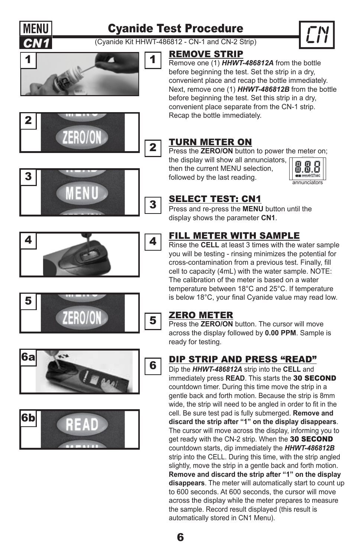

2

## Cyanide Test Procedure **CONT CONCILLET CONDUCT CONDUCT CONTRACT CONTRACT CONTRACT CONTRACT CONTRACT CONTRACT CONTRACT CONTRACT CONTRACT CONTRACT CONTRACT CONTROLLET CONTRACT CONTRACT CONTRACT CONTRACT CONTRACT CONTRACT CONTRACT CONTRACT CONTRACT**





ZERO/ON

**REMOVE STRIP**<br>Remove one (1) **HHWT-486812A** from the bottle before beginning the test. Set the strip in a dry, convenient place and recap the bottle immediately. Next, remove one (1) *HHWT-486812B* from the bottle before beginning the test. Set this strip in a dry, convenient place separate from the CN-1 strip. Recap the bottle immediately.

### **TURN METER ON**

Press the **ZERO/ON** button to power the meter on;

the display will show all annunciators, then the current MENU selection, followed by the last reading.





# $\overline{3}$  SELECT TEST: CN1

#### Press and re-press the **MENU** button until the display shows the parameter **CN1**.

#### FILL METER WITH SAMPLE

4 **Rinse the CELL** at least 3 times with the water sample you will be testing - rinsing minimizes the potential for cross-contamination from a previous test. Finally, fill cell to capacity (4mL) with the water sample. NOTE: The calibration of the meter is based on a water temperature between 18°C and 25°C. If temperature is below 18°C, your final Cyanide value may read low.

**5 ZERO METER**<br>Press the **ZERO/ON** button. The cursor will move across the display followed by **0.00 PPM**. Sample is ready for testing.

# **6** DIP STRIP AND PRESS "READ"<br>Dip the *HHWT-486812A* strip into the CELL and

immediately press **READ**. This starts the 30 SECOND countdown timer. During this time move the strip in a gentle back and forth motion. Because the strip is 8mm wide, the strip will need to be angled in order to fit in the cell. Be sure test pad is fully submerged. **Remove and discard the strip after "1" on the display disappears**. The cursor will move across the display, informing you to get ready with the CN-2 strip. When the 30 SECOND countdown starts, dip immediately the *HHWT-486812B* strip into the CELL. During this time, with the strip angled slightly, move the strip in a gentle back and forth motion. **Remove and discard the strip after "1" on the display disappears**. The meter will automatically start to count up to 600 seconds. At 600 seconds, the cursor will move across the display while the meter prepares to measure the sample. Record result displayed (this result is automatically stored in CN1 Menu).







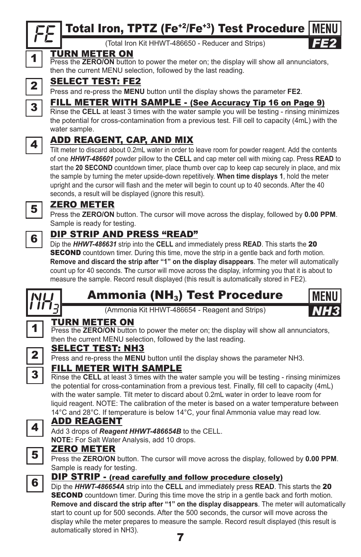

# **FE** Total Iron, TPTZ (Fe<sup>+2</sup>/Fe<sup>+3</sup>) Test Procedure MENU<br>
(Total Iron Kit HHWT-486650 - Reducer and Strips)

(Total Iron Kit HHWT-486650 - Reducer and Strips)

#### TURN METER ON

Press the **ZERO/ON** button to power the meter on; the display will show all annunciators, then the current MENU selection, followed by the last reading.



#### SELECT TEST: FE2

2 Press and re-press the **MENU** button until the display shows the parameter **FE2**.

FILL METER WITH SAMPLE - (See Accuracy Tip 16 on Page 9)

3 Rinse the **CELL** at least 3 times with the water sample you will be testing - rinsing minimizes the potential for cross-contamination from a previous test. Fill cell to capacity (4mL) with the water sample.

### ADD REAGENT, CAP, AND MIX

4 **ADD REAGENT, CAP, AID ITLE**<br>Tilt meter to discard about 0.2mL water in order to leave room for powder reagent. Add the contents of one *HHWT-486601* powder pillow to the **CELL** and cap meter cell with mixing cap. Press **READ** to start the **20 SECOND** countdown timer, place thumb over cap to keep cap securely in place, and mix the sample by turning the meter upside-down repetitively. **When time displays 1**, hold the meter upright and the cursor will flash and the meter will begin to count up to 40 seconds. After the 40 seconds, a result will be displayed (ignore this result).



ZERO METER

5 Press the **ZERO/ON** button. The cursor will move across the display, followed by **0.00 PPM**. Sample is ready for testing.

### DIP STRIP AND PRESS "READ"

6 Dip the *HHWT-486631* strip into the **CELL** and immediately press **READ**. This starts the <sup>20</sup> **SECOND** countdown timer. During this time, move the strip in a gentle back and forth motion. **Remove and discard the strip after "1" on the display disappears**. The meter will automatically count up for 40 seconds. The cursor will move across the display, informing you that it is about to measure the sample. Record result displayed (this result is automatically stored in FE2).



# **Ammonia (NH<sub>3</sub>) Test Procedure**<br>(Ammonia Kit HHWT-486654 - Reagent and Strips)

### TURN METER ON

Press the **ZERO/ON** button to power the meter on; the display will show all annunciators, then the current MENU selection, followed by the last reading.

#### SELECT TEST: NH3

Press and re-press the **MENU** button until the display shows the parameter NH3.

#### FILL METER WITH SAMPLE

**3** Rinse the **CELL** at least 3 times with the water sample you will be testing - rinsing minimizes the potential for cross-contamination from a previous test. Finally, fill cell to capacity (4mL) with the water sample. Tilt meter to discard about 0.2mL water in order to leave room for liquid reagent. NOTE: The calibration of the meter is based on a water temperature between  $14^{\circ}$ C and 28 $^{\circ}$ C. If temperature is below  $14^{\circ}$ C, your final Ammonia value may read low.

### ADD REAGENT

4 Add 3 drops of *Reagent HHWT-486654B* to the CELL.

**NOTE:** For Salt Water Analysis, add 10 drops.

#### ZERO METER

5 Press the **ZERO/ON** button. The cursor will move across the display, followed by **0.00 PPM**. Sample is ready for testing.

#### DIP STRIP - (read carefully and follow procedure closely)

6 Dip the *HHWT-486654A* strip into the **CELL** and immediately press **READ**. This starts the <sup>20</sup> **SECOND** countdown timer. During this time move the strip in a gentle back and forth motion. **Remove and discard the strip after "1" on the display disappears**. The meter will automatically start to count up for 500 seconds. After the 500 seconds, the cursor will move across the display while the meter prepares to measure the sample. Record result displayed (this result is automatically stored in NH3).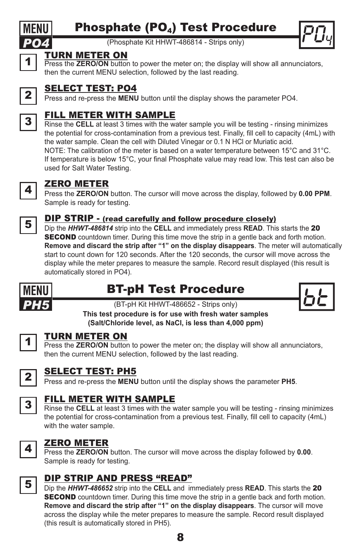

# **Phosphate (PO<sub>4</sub>) Test Procedure**<br>
PO4 Phosphate Kit HHWT-486814 - Strips only)

(Phosphate Kit HHWT-486814 - Strips only)



#### TURN METER ON

Press the **ZERO/ON** button to power the meter on; the display will show all annunciators, then the current MENU selection, followed by the last reading.



#### SELECT TEST: PO4

Press and re-press the **MENU** button until the display shows the parameter PO4.

#### FILL METER WITH SAMPLE

Rinse the CELL at least 3 times with the water sample you will be testing - rinsing minimizes the potential for cross-contamination from a previous test. Finally, fill cell to capacity (4mL) with the water sample. Clean the cell with Diluted Vinegar or 0.1 N HCl or Muriatic acid. NOTE: The calibration of the meter is based on a water temperature between 15°C and 31°C. If temperature is below 15°C, your final Phosphate value may read low. This test can also be used for Salt Water Testing.



#### ZERO METER

4 Press the **ZERO/ON** button. The cursor will move across the display, followed by **0.00 PPM**. Sample is ready for testing.



#### **DIP STRIP** - (read carefully and follow procedure closely)

5 Dip the *HHWT-486814* strip into the **CELL** and immediately press **READ**. This starts the <sup>20</sup> **SECOND** countdown timer. During this time move the strip in a gentle back and forth motion. **Remove and discard the strip after "1" on the display disappears**. The meter will automatically start to count down for 120 seconds. After the 120 seconds, the cursor will move across the display while the meter prepares to measure the sample. Record result displayed (this result is automatically stored in PO4).



# BT-pH Test Procedure



(BT-pH Kit HHWT-486652 - Strips only) **This test procedure is for use with fresh water samples (Salt/Chloride level, as NaCl, is less than 4,000 ppm)**

#### TURN METER ON <sup>1</sup>

Press the **ZERO/ON** button to power the meter on; the display will show all annunciators, then the current MENU selection, followed by the last reading.



#### SELECT TEST: PH5

Press and re-press the **MENU** button until the display shows the parameter **PH5**.

**3** FILL METER WITH SAMPLE<br>Rinse the CELL at least 3 times with the water sample you will be testing - rinsing minimizes the potential for cross-contamination from a previous test. Finally, fill cell to capacity (4mL) with the water sample.



**4 ZERO METER**<br>Press the **ZERO/ON** button. The cursor will move across the display followed by 0.00. Sample is ready for testing.



**DIP STRIP AND PRESS "READ"**<br>Dip the HHWT-486652 strip into the CELL and immediately press READ. This starts the 20 **SECOND** countdown timer. During this time move the strip in a gentle back and forth motion. **Remove and discard the strip after "1" on the display disappears**. The cursor will move across the display while the meter prepares to measure the sample. Record result displayed (this result is automatically stored in PH5).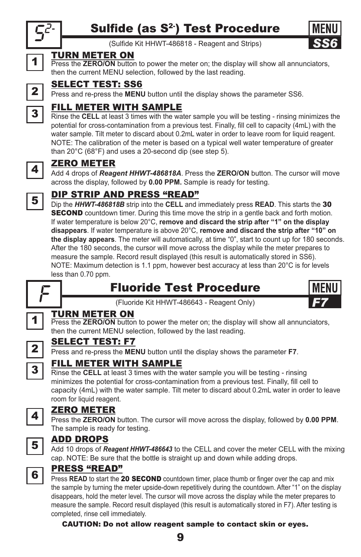

# Sulfide (as  $S<sup>2</sup>$ ) Test Procedure

(Sulfide Kit HHWT-486818 - Reagent and Strips)



#### TURN METER ON

Press the **ZERO/ON** button to power the meter on; the display will show all annunciators, then the current MENU selection, followed by the last reading.



#### SELECT TEST: SS6

2 Press and re-press the **MENU** button until the display shows the parameter SS6.

### FILL METER WITH SAMPLE

Rinse the CELL at least 3 times with the water sample you will be testing - rinsing minimizes the potential for cross-contamination from a previous test. Finally, fill cell to capacity (4mL) with the water sample. Tilt meter to discard about 0.2mL water in order to leave room for liquid reagent. NOTE: The calibration of the meter is based on a typical well water temperature of greater than 20°C (68°F) and uses a 20-second dip (see step 5).



#### ZERO METER

4 Add 4 drops of *Reagent HHWT-486818A*. Press the **ZERO/ON** button. The cursor will move across the display, followed by **0.00 PPM.** Sample is ready for testing.

#### DIP STRIP AND PRESS "READ"

5 Dip the *HHWT-486818B* strip into the **CELL** and immediately press **READ**. This starts the <sup>30</sup> **SECOND** countdown timer. During this time move the strip in a gentle back and forth motion. If water temperature is below 20°C, **remove and discard the strip after "1" on the display disappears**. If water temperature is above 20°C, **remove and discard the strip after "10" on the display appears**. The meter will automatically, at time "0", start to count up for 180 seconds. After the 180 seconds, the cursor will move across the display while the meter prepares to measure the sample. Record result displayed (this result is automatically stored in SS6). NOTE: Maximum detection is 1.1 ppm, however best accuracy at less than 20°C is for levels less than 0.70 ppm.



# **Fluoride Test Procedure**



(Fluoride Kit HHWT-486643 - Reagent Only)

#### TURN METER ON

Press the **ZERO/ON** button to power the meter on; the display will show all annunciators, then the current MENU selection, followed by the last reading.



#### SELECT TEST: F7

2 Press and re-press the **MENU** button until the display shows the parameter **F7**.



#### FILL METER WITH SAMPLE

**3** Rinse the **CELL** at least 3 times with the water sample you will be testing - rinsing minimizes the potential for cross-contamination from a previous test. Finally, fill cell to capacity (4mL) with the water sample. Tilt meter to discard about 0.2mL water in order to leave room for liquid reagent.



#### ZERO METER

4 Press the **ZERO/ON** button. The cursor will move across the display, followed by **0.00 PPM**. The sample is ready for testing.



#### ADD DROPS

Add 10 drops of **Reagent HHWT-486643** to the CELL and cover the meter CELL with the mixing cap. NOTE: Be sure that the bottle is straight up and down while adding drops.

#### PRESS "READ"

Press **READ** to start the 20 SECOND countdown timer, place thumb or finger over the cap and mix the sample by turning the meter upside-down repetitively during the countdown. After "1" on the display disappears, hold the meter level. The cursor will move across the display while the meter prepares to measure the sample. Record result displayed (this result is automatically stored in F7). After testing is completed, rinse cell immediately.

#### CAUTION: Do not allow reagent sample to contact skin or eyes.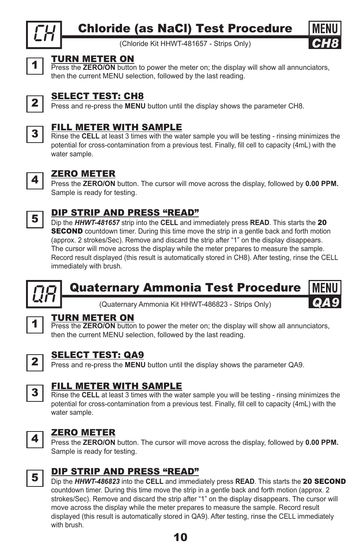

# Chloride (as NaCl) Test Procedure CH *CH8*

(Chloride Kit HHWT-481657 - Strips Only)





#### TURN METER ON

Press the **ZERO/ON** button to power the meter on; the display will show all annunciators, then the current MENU selection, followed by the last reading.



#### SELECT TEST: CH8

Press and re-press the **MENU** button until the display shows the parameter CH8.



#### FILL METER WITH SAMPLE

Rinse the **CELL** at least 3 times with the water sample you will be testing - rinsing minimizes the potential for cross-contamination from a previous test. Finally, fill cell to capacity (4mL) with the water sample.



#### ZERO METER

4 Press the **ZERO/ON** button. The cursor will move across the display, followed by **0.00 PPM.** Sample is ready for testing.



#### DIP STRIP AND PRESS "READ"

5 Dip the *HHWT-481657* strip into the **CELL** and immediately press **READ**. This starts the <sup>20</sup> **SECOND** countdown timer. During this time move the strip in a gentle back and forth motion (approx. 2 strokes/Sec). Remove and discard the strip after "1" on the display disappears. The cursor will move across the display while the meter prepares to measure the sample. Record result displayed (this result is automatically stored in CH8). After testing, rinse the CELL immediately with brush.



# **Quaternary Ammonia Test Procedure**

(Quaternary Ammonia Kit HHWT-486823 - Strips Only)





#### TURN METER ON

Press the **ZERO/ON** button to power the meter on; the display will show all annunciators, then the current MENU selection, followed by the last reading.



#### SELECT TEST: QA9

Press and re-press the **MENU** button until the display shows the parameter QA9.



#### FILL METER WITH SAMPLE

Rinse the CELL at least 3 times with the water sample you will be testing - rinsing minimizes the potential for cross-contamination from a previous test. Finally, fill cell to capacity (4mL) with the water sample.



#### ZERO METER

4 Press the **ZERO/ON** button. The cursor will move across the display, followed by **0.00 PPM.** Sample is ready for testing.



#### DIP STRIP AND PRESS "READ"

5 Dip the *HHWT-486823* into the **CELL** and immediately press **READ**. This starts the 20 SECOND countdown timer. During this time move the strip in a gentle back and forth motion (approx. 2 strokes/Sec). Remove and discard the strip after "1" on the display disappears. The cursor will move across the display while the meter prepares to measure the sample. Record result displayed (this result is automatically stored in QA9). After testing, rinse the CELL immediately with brush.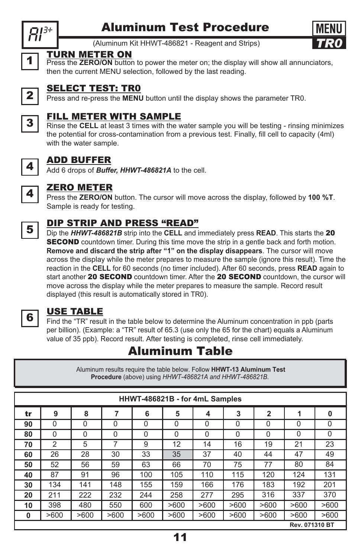

# Aluminum Test Procedure

(Aluminum Kit HHWT-486821 - Reagent and Strips)

#### TURN METER ON

Press the **ZERO/ON** button to power the meter on; the display will show all annunciators, then the current MENU selection, followed by the last reading.



#### SELECT TEST: TR0

Press and re-press the **MENU** button until the display shows the parameter TR0.



#### FILL METER WITH SAMPLE

Rinse the **CELL** at least 3 times with the water sample you will be testing - rinsing minimizes the potential for cross-contamination from a previous test. Finally, fill cell to capacity (4ml) with the water sample.



#### ADD BUFFER

4 Add 6 drops of *Buffer, HHWT-486821A* to the cell.



#### ZERO METER

4 Press the **ZERO/ON** button. The cursor will move across the display, followed by **100 %T**. Sample is ready for testing.



#### DIP STRIP AND PRESS "READ"

5 Dip the *HHWT-486821B* strip into the **CELL** and immediately press **READ**. This starts the <sup>20</sup> **SECOND** countdown timer. During this time move the strip in a gentle back and forth motion. **Remove and discard the strip after "1" on the display disappears**. The cursor will move across the display while the meter prepares to measure the sample (ignore this result). Time the reaction in the **CELL** for 60 seconds (no timer included). After 60 seconds, press **READ** again to start another 20 SECOND countdown timer. After the 20 SECOND countdown, the cursor will move across the display while the meter prepares to measure the sample. Record result displayed (this result is automatically stored in TR0).



#### USE TABLE

6 Find the "TR" result in the table below to determine the Aluminum concentration in ppb (parts per billion). (Example: a "TR" result of 65.3 (use only the 65 for the chart) equals a Aluminum value of 35 ppb). Record result. After testing is completed, rinse cell immediately.

### Aluminum Table

 Aluminum results require the table below. Follow **HHWT-13 Aluminum Test Procedure** (above) using *HHWT-486821A and HHWT-486821B.*

|    | HHWT-486821B - for 4mL Samples |      |          |      |      |              |          |                |                |          |
|----|--------------------------------|------|----------|------|------|--------------|----------|----------------|----------------|----------|
| tr | 9                              | 8    | 7        | 6    | 5    | 4            | 3        | $\overline{2}$ | 1              | 0        |
| 90 | $\mathbf{0}$                   | 0    | 0        | 0    | 0    | $\mathbf{0}$ | $\Omega$ | 0              | 0              | 0        |
| 80 | $\mathbf{0}$                   | 0    | $\Omega$ | 0    | 0    | $\Omega$     | $\Omega$ | 0              | 0              | $\Omega$ |
| 70 | $\overline{2}$                 | 5    | 7        | 9    | 12   | 14           | 16       | 19             | 21             | 23       |
| 60 | 26                             | 28   | 30       | 33   | 35   | 37           | 40       | 44             | 47             | 49       |
| 50 | 52                             | 56   | 59       | 63   | 66   | 70           | 75       | 77             | 80             | 84       |
| 40 | 87                             | 91   | 96       | 100  | 105  | 110          | 115      | 120            | 124            | 131      |
| 30 | 134                            | 141  | 148      | 155  | 159  | 166          | 176      | 183            | 192            | 201      |
| 20 | 211                            | 222  | 232      | 244  | 258  | 277          | 295      | 316            | 337            | 370      |
| 10 | 398                            | 480  | 550      | 600  | >600 | >600         | >600     | >600           | >600           | >600     |
| 0  | >600                           | >600 | >600     | >600 | >600 | >600         | >600     | >600           | >600           | >600     |
|    |                                |      |          |      |      |              |          |                | Rev. 071310 BT |          |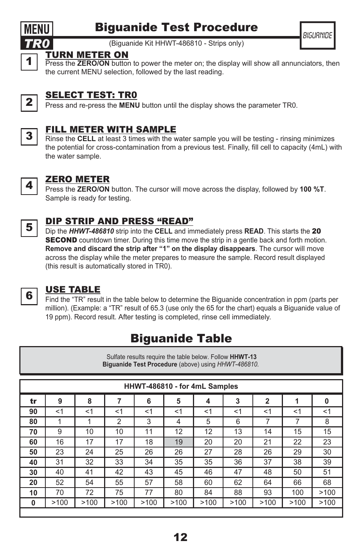

# Biguanide Test Procedure

*(Biguanide Kit HHWT-486810 - Strips only)* 

#### TURN METER ON

Press the **ZERO/ON** button to power the meter on; the display will show all annunciators, then the current MENU selection, followed by the last reading.



#### SELECT TEST: TR0

Press and re-press the **MENU** button until the display shows the parameter TR0.



#### FILL METER WITH SAMPLE

Rinse the **CELL** at least 3 times with the water sample you will be testing - rinsing minimizes the potential for cross-contamination from a previous test. Finally, fill cell to capacity (4mL) with the water sample.



#### ZERO METER

4 Press the **ZERO/ON** button. The cursor will move across the display, followed by **100 %T**. Sample is ready for testing.



#### DIP STRIP AND PRESS "READ"

5 Dip the *HHWT-486810* strip into the **CELL** and immediately press **READ**. This starts the <sup>20</sup> **SECOND** countdown timer. During this time move the strip in a gentle back and forth motion. **Remove and discard the strip after "1" on the display disappears**. The cursor will move across the display while the meter prepares to measure the sample. Record result displayed (this result is automatically stored in TR0).



#### USE TABLE

6 Find the "TR" result in the table below to determine the Biguanide concentration in ppm (parts per million). (Example: a "TR" result of 65.3 (use only the 65 for the chart) equals a Biguanide value of 19 ppm). Record result. After testing is completed, rinse cell immediately.

## Biguanide Table

 Sulfate results require the table below. Follow **HHWT-13 Biguanide Test Procedure** (above) using *HHWT-486810.*

|    | HHWT-486810 - for 4mL Samples |       |                |       |       |       |       |                |      |       |
|----|-------------------------------|-------|----------------|-------|-------|-------|-------|----------------|------|-------|
| tr | 9                             | 8     | 7              | 6     | 5     | 4     | 3     | $\overline{2}$ | 1    | 0     |
| 90 | $<$ 1                         | $<$ 1 | $<$ 1          | $<$ 1 | $<$ 1 | $<$ 1 | $<$ 1 | $<$ 1          | <1   | $<$ 1 |
| 80 | 4                             | 1     | $\overline{2}$ | 3     | 4     | 5     | 6     | 7              | 7    | 8     |
| 70 | 9                             | 10    | 10             | 11    | 12    | 12    | 13    | 14             | 15   | 15    |
| 60 | 16                            | 17    | 17             | 18    | 19    | 20    | 20    | 21             | 22   | 23    |
| 50 | 23                            | 24    | 25             | 26    | 26    | 27    | 28    | 26             | 29   | 30    |
| 40 | 31                            | 32    | 33             | 34    | 35    | 35    | 36    | 37             | 38   | 39    |
| 30 | 40                            | 41    | 42             | 43    | 45    | 46    | 47    | 48             | 50   | 51    |
| 20 | 52                            | 54    | 55             | 57    | 58    | 60    | 62    | 64             | 66   | 68    |
| 10 | 70                            | 72    | 75             | 77    | 80    | 84    | 88    | 93             | 100  | >100  |
| 0  | >100                          | >100  | >100           | >100  | >100  | >100  | >100  | >100           | >100 | >100  |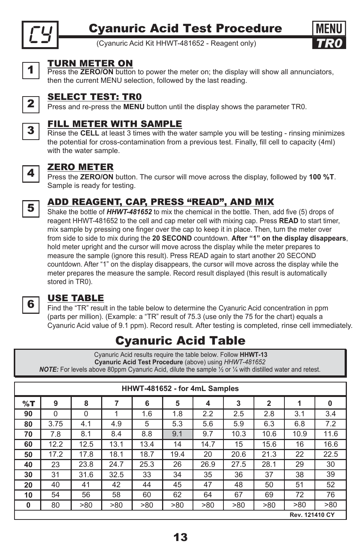

# **Cyanuric Acid Test Procedure** (Cyanuric Acid Kit HHWT-481652 - Reagent only)



### TURN METER ON

Press the **ZERO/ON** button to power the meter on; the display will show all annunciators, then the current MENU selection, followed by the last reading.



#### SELECT TEST: TR0

Press and re-press the **MENU** button until the display shows the parameter TR0.



#### FILL METER WITH SAMPLE

Rinse the **CELL** at least 3 times with the water sample you will be testing - rinsing minimizes the potential for cross-contamination from a previous test. Finally, fill cell to capacity (4ml) with the water sample.



#### ZERO METER

4 Press the **ZERO/ON** button. The cursor will move across the display, followed by **100 %T**. Sample is ready for testing.



### ADD REAGENT, CAP, PRESS "READ", AND MIX

5 Shake the bottle of *HHWT-481652* to mix the chemical in the bottle. Then, add five (5) drops of reagent HHWT-481652 to the cell and cap meter cell with mixing cap. Press **READ** to start timer, mix sample by pressing one finger over the cap to keep it in place. Then, turn the meter over from side to side to mix during the **20 SECOND** countdown. **After "1" on the display disappears**, hold meter upright and the cursor will move across the display while the meter prepares to measure the sample (ignore this result). Press READ again to start another 20 SECOND countdown. After "1" on the display disappears, the cursor will move across the display while the meter prepares the measure the sample. Record result displayed (this result is automatically stored in TR0).



#### USE TABLE

**6** Find the "TR" result in the table below to determine the Cyanuric Acid concentration in ppm (parts per million). (Example: a "TR" result of 75.3 (use only the 75 for the chart) equals a Cyanuric Acid value of 9.1 ppm). Record result. After testing is completed, rinse cell immediately.

# Cyanuric Acid Table

 Cyanuric Acid results require the table below. Follow **HHWT-13 Cyanuric Acid Test Procedure** (above) using *HHWT-481652 NOTE:* For levels above 80ppm Cyanuric Acid, dilute the sample ½ or ¼ with distilled water and retest.

|          | HHWT-481652 - for 4mL Samples |      |      |      |      |      |      |                |                |      |
|----------|-------------------------------|------|------|------|------|------|------|----------------|----------------|------|
| %T       | 9                             | 8    | 7    | 6    | 5    | 4    | 3    | $\overline{2}$ | 1              | 0    |
| 90       | $\Omega$                      | 0    | 1    | 1.6  | 1.8  | 2.2  | 2.5  | 2.8            | 3.1            | 3.4  |
| 80       | 3.75                          | 4.1  | 4.9  | 5    | 5.3  | 5.6  | 5.9  | 6.3            | 6.8            | 7.2  |
| 70       | 7.8                           | 8.1  | 8.4  | 8.8  | 9.1  | 9.7  | 10.3 | 10.6           | 10.9           | 11.6 |
| 60       | 12.2                          | 12.5 | 13.1 | 13.4 | 14   | 14.7 | 15   | 15.6           | 16             | 16.6 |
| 50       | 17.2                          | 17.8 | 18.1 | 18.7 | 19.4 | 20   | 20.6 | 21.3           | 22             | 22.5 |
| 40       | 23                            | 23.8 | 24.7 | 25.3 | 26   | 26.9 | 27.5 | 28.1           | 29             | 30   |
| 30       | 31                            | 31.6 | 32.5 | 33   | 34   | 35   | 36   | 37             | 38             | 39   |
| 20       | 40                            | 41   | 42   | 44   | 45   | 47   | 48   | 50             | 51             | 52   |
| 10       | 54                            | 56   | 58   | 60   | 62   | 64   | 67   | 69             | 72             | 76   |
| $\bf{0}$ | 80                            | >80  | >80  | >80  | >80  | >80  | >80  | >80            | >80            | >80  |
|          |                               |      |      |      |      |      |      |                | Rev. 121410 CY |      |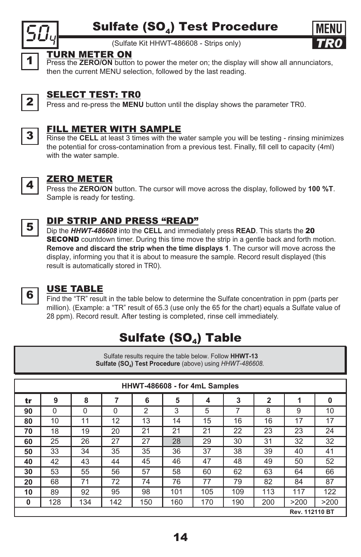

# **Sulfate (SO<sub>4</sub>) Test Procedure** MENU<br>
(Sulfate Kit HHWT-486608 - Strips only) **TRO**



#### TURN METER ON

Press the **ZERO/ON** button to power the meter on; the display will show all annunciators, then the current MENU selection, followed by the last reading.



#### SELECT TEST: TR0

Press and re-press the **MENU** button until the display shows the parameter TR0.



#### FILL METER WITH SAMPLE

 Rinse the **CELL** at least 3 times with the water sample you will be testing - rinsing minimizes the potential for cross-contamination from a previous test. Finally, fill cell to capacity (4ml) with the water sample.



#### ZERO METER

 Press the **ZERO/ON** button. The cursor will move across the display, followed by **100 %T**. Sample is ready for testing.



#### DIP STRIP AND PRESS "READ"

 Dip the *HHWT-486608* into the **CELL** and immediately press **READ**. This starts the <sup>20</sup> **SECOND** countdown timer. During this time move the strip in a gentle back and forth motion. **Remove and discard the strip when the time displays 1**. The cursor will move across the display, informing you that it is about to measure the sample. Record result displayed (this result is automatically stored in TR0).



#### USE TABLE

6 Find the "TR" result in the table below to determine the Sulfate concentration in ppm (parts per million). (Example: a "TR" result of 65.3 (use only the 65 for the chart) equals a Sulfate value of 28 ppm). Record result. After testing is completed, rinse cell immediately.

# Sulfate  $(SO_4)$  Table

 Sulfate results require the table below. Follow **HHWT-13 Sulfate (SO4) Test Procedure** (above) using *HHWT-486608.*

|    | HHWT-486608 - for 4mL Samples |     |          |     |     |     |     |                |                |      |
|----|-------------------------------|-----|----------|-----|-----|-----|-----|----------------|----------------|------|
| tr | 9                             | 8   | 7        | 6   | 5   | 4   | 3   | $\overline{2}$ | 1              | 0    |
| 90 | $\mathbf{0}$                  | 0   | $\Omega$ | 2   | 3   | 5   | 7   | 8              | 9              | 10   |
| 80 | 10                            | 11  | 12       | 13  | 14  | 15  | 16  | 16             | 17             | 17   |
| 70 | 18                            | 19  | 20       | 21  | 21  | 21  | 22  | 23             | 23             | 24   |
| 60 | 25                            | 26  | 27       | 27  | 28  | 29  | 30  | 31             | 32             | 32   |
| 50 | 33                            | 34  | 35       | 35  | 36  | 37  | 38  | 39             | 40             | 41   |
| 40 | 42                            | 43  | 44       | 45  | 46  | 47  | 48  | 49             | 50             | 52   |
| 30 | 53                            | 55  | 56       | 57  | 58  | 60  | 62  | 63             | 64             | 66   |
| 20 | 68                            | 71  | 72       | 74  | 76  | 77  | 79  | 82             | 84             | 87   |
| 10 | 89                            | 92  | 95       | 98  | 101 | 105 | 109 | 113            | 117            | 122  |
| 0  | 128                           | 134 | 142      | 150 | 160 | 170 | 190 | 200            | >200           | >200 |
|    |                               |     |          |     |     |     |     |                | Rev. 112110 BT |      |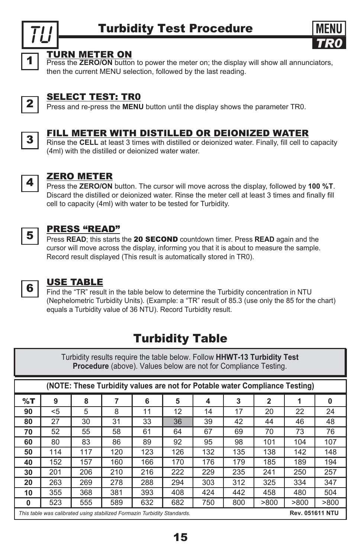

#### TURN METER ON

Press the **ZERO/ON** button to power the meter on; the display will show all annunciators, then the current MENU selection, followed by the last reading.



#### SELECT TEST: TR0

**2** Press and re-press the **MENU** button until the display shows the parameter TR0.



#### FILL METER WITH DISTILLED OR DEIONIZED WATER

3 **Ringe the CELL** at least 3 times with distilled or deionized water. Finally, fill cell to capacity (4ml) with the distilled or deionized water water.



#### ZERO METER

4 Press the **ZERO/ON** button. The cursor will move across the display, followed by **100 %T**. Discard the distilled or deionized water. Rinse the meter cell at least 3 times and finally fill cell to capacity (4ml) with water to be tested for Turbidity.



#### PRESS "READ"

**5** Press **READ**; this starts the 20 **SECOND** countdown timer. Press **READ** again and the cursor will move across the display, informing you that it is about to measure the sample. Record result displayed (This result is automatically stored in TR0).



#### USE TABLE

6 Find the "TR" result in the table below to determine the Turbidity concentration in NTU (Nephelometric Turbidity Units). (Example: a "TR" result of 85.3 (use only the 85 for the chart) equals a Turbidity value of 36 NTU). Record Turbidity result.

## Turbidity Table

Turbidity results require the table below. Follow **HHWT-13 Turbidity Test Procedure** (above). Values below are not for Compliance Testing.

|          | (NOTE: These Turbidity values are not for Potable water Compliance Testing) |     |     |     |     |     |     |                |                        |      |
|----------|-----------------------------------------------------------------------------|-----|-----|-----|-----|-----|-----|----------------|------------------------|------|
| %T       | 9                                                                           | 8   |     | 6   | 5   | 4   | 3   | $\overline{2}$ | 1                      | 0    |
| 90       | $<$ 5                                                                       | 5   | 8   | 11  | 12  | 14  | 17  | 20             | 22                     | 24   |
| 80       | 27                                                                          | 30  | 31  | 33  | 36  | 39  | 42  | 44             | 46                     | 48   |
| 70       | 52                                                                          | 55  | 58  | 61  | 64  | 67  | 69  | 70             | 73                     | 76   |
| 60       | 80                                                                          | 83  | 86  | 89  | 92  | 95  | 98  | 101            | 104                    | 107  |
| 50       | 114                                                                         | 117 | 120 | 123 | 126 | 132 | 135 | 138            | 142                    | 148  |
| 40       | 152                                                                         | 157 | 160 | 166 | 170 | 176 | 179 | 185            | 189                    | 194  |
| 30       | 201                                                                         | 206 | 210 | 216 | 222 | 229 | 235 | 241            | 250                    | 257  |
| 20       | 263                                                                         | 269 | 278 | 288 | 294 | 303 | 312 | 325            | 334                    | 347  |
| 10       | 355                                                                         | 368 | 381 | 393 | 408 | 424 | 442 | 458            | 480                    | 504  |
| $\bf{0}$ | 523                                                                         | 555 | 589 | 632 | 682 | 750 | 800 | >800           | >800                   | >800 |
|          | This table was calibrated using stabilized Formazin Turbidity Standards.    |     |     |     |     |     |     |                | <b>Rev. 051611 NTU</b> |      |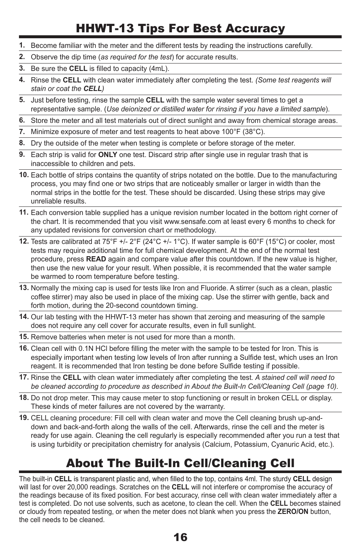## HHWT-13 Tips For Best Accuracy

- **1.** Become familiar with the meter and the different tests by reading the instructions carefully.
- **2.** Observe the dip time (*as required for the test*) for accurate results.
- **3.** Be sure the **CELL** is filled to capacity (4mL).
- **4.** Rinse the **CELL** with clean water immediately after completing the test. *(Some test reagents will stain or coat the CELL)*
- **5.** Just before testing, rinse the sample **CELL** with the sample water several times to get a representative sample. (*Use deionized or distilled water for rinsing if you have a limited sample*).
- **6.** Store the meter and all test materials out of direct sunlight and away from chemical storage areas.
- **7.** Minimize exposure of meter and test reagents to heat above 100°F (38°C).
- **8.** Dry the outside of the meter when testing is complete or before storage of the meter.
- **9.** Each strip is valid for **ONLY** one test. Discard strip after single use in regular trash that is inaccessible to children and pets.
- **10.** Each bottle of strips contains the quantity of strips notated on the bottle. Due to the manufacturing process, you may find one or two strips that are noticeably smaller or larger in width than the normal strips in the bottle for the test. These should be discarded. Using these strips may give unreliable results.
- **11.** Each conversion table supplied has a unique revision number located in the bottom right corner of the chart. It is recommended that you visit www.sensafe.com at least every 6 months to check for any updated revisions for conversion chart or methodology.
- **12.** Tests are calibrated at 75°F +/- 2°F (24°C +/- 1°C). If water sample is 60°F (15°C) or cooler, most tests may require additional time for full chemical development. At the end of the normal test procedure, press **READ** again and compare value after this countdown. If the new value is higher, then use the new value for your result. When possible, it is recommended that the water sample be warmed to room temperature before testing.
- **13.** Normally the mixing cap is used for tests like Iron and Fluoride. A stirrer (such as a clean, plastic coffee stirrer) may also be used in place of the mixing cap. Use the stirrer with gentle, back and forth motion, during the 20-second countdown timing.
- **14.** Our lab testing with the HHWT-13 meter has shown that zeroing and measuring of the sample does not require any cell cover for accurate results, even in full sunlight.
- **15.** Remove batteries when meter is not used for more than a month.
- **16.** Clean cell with 0.1N HCI before filling the meter with the sample to be tested for Iron. This is especially important when testing low levels of Iron after running a Sulfide test, which uses an Iron reagent. It is recommended that Iron testing be done before Sulfide testing if possible.
- **17.** Rinse the **CELL** with clean water immediately after completing the test*. A stained cell will need to be cleaned according to procedure as described in About the Built-In Cell/Cleaning Cell (page 10).*
- **18.** Do not drop meter. This may cause meter to stop functioning or result in broken CELL or display. These kinds of meter failures are not covered by the warranty.
- **19.** CELL cleaning procedure: Fill cell with clean water and move the Cell cleaning brush up-anddown and back-and-forth along the walls of the cell. Afterwards, rinse the cell and the meter is ready for use again. Cleaning the cell regularly is especially recommended after you run a test that is using turbidity or precipitation chemistry for analysis (Calcium, Potassium, Cyanuric Acid, etc.).

# About The Built-In Cell/Cleaning Cell

The built-in CELL is transparent plastic and, when filled to the top, contains 4ml. The sturdy CELL design will last for over 20,000 readings. Scratches on the **CELL** will not interfere or compromise the accuracy of the readings because of its fixed position. For best accuracy, rinse cell with clean water immediately after a test is completed. Do not use solvents, such as acetone, to clean the cell. When the **CELL** becomes stained or cloudy from repeated testing, or when the meter does not blank when you press the **ZERO/ON** button, the cell needs to be cleaned.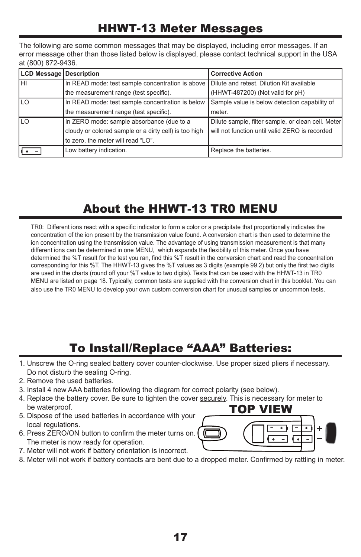### HHWT-13 Meter Messages

The following are some common messages that may be displayed, including error messages. If an error message other than those listed below is displayed, please contact technical support in the USA at (800) 872-9436.

| <b>LCD Message Description</b> |                                                       | <b>Corrective Action</b>                           |
|--------------------------------|-------------------------------------------------------|----------------------------------------------------|
| Iнг                            | In READ mode: test sample concentration is above      | Dilute and retest. Dilution Kit available          |
|                                | the measurement range (test specific).                | (HHWT-487200) (Not valid for pH)                   |
| <b>LO</b>                      | In READ mode: test sample concentration is below      | Sample value is below detection capability of      |
|                                | the measurement range (test specific).                | meter.                                             |
| <b>LO</b>                      | In ZERO mode: sample absorbance (due to a             | Dilute sample, filter sample, or clean cell. Meter |
|                                | cloudy or colored sample or a dirty cell) is too high | will not function until valid ZERO is recorded     |
|                                | to zero, the meter will read "LO".                    |                                                    |
|                                | Low battery indication.                               | Replace the batteries.                             |

# About the HHWT-13 TR0 MENU

TR0: Different ions react with a specific indicator to form a color or a precipitate that proportionally indicates the concentration of the ion present by the transmission value found. A conversion chart is then used to determine the ion concentration using the transmission value. The advantage of using transmission measurement is that many different ions can be determined in one MENU, which expands the flexibility of this meter. Once you have determined the %T result for the test you ran, find this %T result in the conversion chart and read the concentration corresponding for this %T. The HHWT-13 gives the %T values as 3 digits (example 99.2) but only the first two digits are used in the charts (round off your %T value to two digits). Tests that can be used with the HHWT-13 in TR0 MENU are listed on page 18. Typically, common tests are supplied with the conversion chart in this booklet. You can also use the TR0 MENU to develop your own custom conversion chart for unusual samples or uncommon tests.

# To Install/Replace "AAA" Batteries:

- 1. Unscrew the O-ring sealed battery cover counter-clockwise. Use proper sized pliers if necessary. Do not disturb the sealing O-ring.
- 2. Remove the used batteries.
- 3. Install 4 new AAA batteries following the diagram for correct polarity (see below).
- 4. Replace the battery cover. Be sure to tighten the cover securely. This is necessary for meter to be waterproof.
- 5. Dispose of the used batteries in accordance with your local regulations.
- 6. Press ZERO/ON button to confirm the meter turns on. The meter is now ready for operation.



- 7. Meter will not work if battery orientation is incorrect.
- 8. Meter will not work if battery contacts are bent due to a dropped meter. Confirmed by rattling in meter.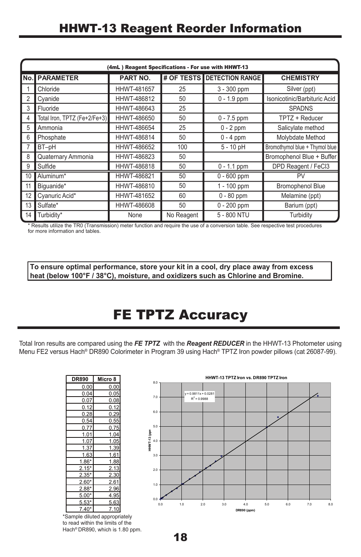|    | (4mL) Reagent Specifications - For use with HHWT-13 |             |            |                            |                                |  |  |
|----|-----------------------------------------------------|-------------|------------|----------------------------|--------------------------------|--|--|
|    | No. PARAMETER                                       | PART NO.    |            | # OF TESTS DETECTION RANGE | <b>CHEMISTRY</b>               |  |  |
| 1  | Chloride                                            | HHWT-481657 | 25         | 3 - 300 ppm                | Silver (ppt)                   |  |  |
| 2  | Cyanide                                             | HHWT-486812 | 50         | $0 - 1.9$ ppm              | Isonicotinic/Barbituric Acid   |  |  |
| 3  | Fluoride                                            | HHWT-486643 | 25         |                            | <b>SPADNS</b>                  |  |  |
| 4  | Total Iron, TPTZ (Fe+2/Fe+3)                        | HHWT-486650 | 50         | $0 - 7.5$ ppm              | TPTZ + Reducer                 |  |  |
| 5  | Ammonia                                             | HHWT-486654 | 25         | $0 - 2$ ppm                | Salicylate method              |  |  |
| 6  | Phosphate                                           | HHWT-486814 | 50         | $0 - 4$ ppm                | Molybdate Method               |  |  |
| 7  | BT-pH                                               | HHWT-486652 | 100        | $5 - 10$ pH                | Bromothymol blue + Thymol blue |  |  |
| 8  | Quaternary Ammonia                                  | HHWT-486823 | 50         |                            | Bromophenol Blue + Buffer      |  |  |
| 9  | Sulfide                                             | HHWT-486818 | 50         | $0 - 1.1$ ppm              | DPD Reagent / FeCl3            |  |  |
| 10 | Aluminum*                                           | HHWT-486821 | 50         | $0 - 600$ ppm              | PV                             |  |  |
| 11 | Biguanide*                                          | HHWT-486810 | 50         | $1 - 100$ ppm              | <b>Bromophenol Blue</b>        |  |  |
| 12 | Cyanuric Acid*                                      | HHWT-481652 | 60         | $0 - 80$ ppm               | Melamine (ppt)                 |  |  |
| 13 | Sulfate*                                            | HHWT-486608 | 50         | $0 - 200$ ppm              | Barium (ppt)                   |  |  |
|    | 14 Turbidity*                                       | None        | No Reagent | 5 - 800 NTU                | Turbidity                      |  |  |

Results utilize the TR0 (Transmission) meter function and require the use of a conversion table. See respective test procedures for more information and tables.

**To ensure optimal performance, store your kit in a cool, dry place away from excess heat (below 100°F / 38°C), moisture, and oxidizers such as Chlorine and Bromine.**

# FE TPTZ Accuracy

Total Iron results are compared using the *FE TPTZ* with the *Reagent REDUCER* in the HHWT-13 Photometer using Menu FE2 versus Hach® DR890 Colorimeter in Program 39 using Hach® TPTZ Iron powder pillows (cat 26087-99).

| DR890   | Micro 8 |
|---------|---------|
| 0.00    | 0.00    |
| 0.04    | 0.05    |
| 0.07    | 0.08    |
| 0.12    | 0.12    |
| 0.28    | 0.29    |
| 0.54    | 0.55    |
| 0.77    | 0.75    |
| 1.01    | 1.04    |
| 1.07    | 1.05    |
| 1.37    | 1.39    |
| 1.63    | 1.61    |
| $1.86*$ | 1.88    |
| $2.15*$ | 2.13    |
| $2.35*$ | 2.30    |
| $2.60*$ | 2.61    |
| $2.88*$ | 2.96    |
| $5.00*$ | 4.95    |
| $5.53*$ | 5.63    |
| $7.40*$ | 7.10    |

\*Sample diluted appropriately to read within the limits of the Hach® DR890, which is 1.80 ppm.

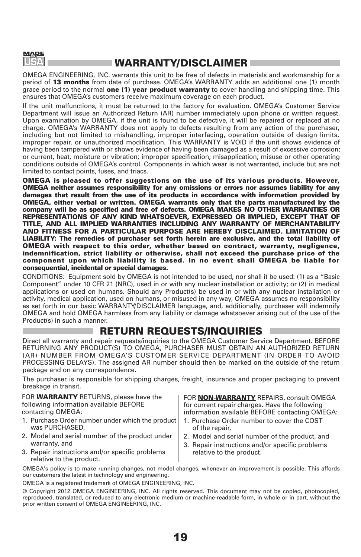

#### WARRANTY/DISCLAIMER

OMEGA ENGINEERING, INC. warrants this unit to be free of defects in materials and workmanship for a period of 13 months from date of purchase. OMEGA's WARRANTY adds an additional one (1) month grace period to the normal **one (1) year product warranty** to cover handling and shipping time. This ensures that OMEGA's customers receive maximum coverage on each product.

If the unit malfunctions, it must be returned to the factory for evaluation. OMEGA's Customer Service Department will issue an Authorized Return (AR) number immediately upon phone or written request. Upon examination by OMEGA, if the unit is found to be defective, it will be repaired or replaced at no charge. OMEGA's WARRANTY does not apply to defects resulting from any action of the purchaser, including but not limited to mishandling, improper interfacing, operation outside of design limits, improper repair, or unauthorized modification. This WARRANTY is VOID if the unit shows evidence of having been tampered with or shows evidence of having been damaged as a result of excessive corrosion; or current, heat, moisture or vibration; improper specification; misapplication; misuse or other operating conditions outside of OMEGA's control. Components in which wear is not warranted, include but are not limited to contact points, fuses, and triacs.

OMEGA is pleased to offer suggestions on the use of its various products. However, OMEGA neither assumes responsibility for any omissions or errors nor assumes liability for any damages that result from the use of its products in accordance with information provided by OMEGA, either verbal or written. OMEGA warrants only that the parts manufactured by the company will be as specified and free of defects. OMEGA MAKES NO OTHER WARRANTIES OR REPRESENTATIONS OF ANY KIND WHATSOEVER, EXPRESSED OR IMPLIED, EXCEPT THAT OF TITLE, AND ALL IMPLIED WARRANTIES INCLUDING ANY WARRANTY OF MERCHANTABILITY AND FITNESS FOR A PARTICULAR PURPOSE ARE HEREBY DISCLAIMED. LIMITATION OF LIABILITY: The remedies of purchaser set forth herein are exclusive, and the total liability of OMEGA with respect to this order, whether based on contract, warranty, negligence, indemnification, strict liability or otherwise, shall not exceed the purchase price of the component upon which liability is based. In no event shall OMEGA be liable for consequential, incidental or special damages.

CONDITIONS: Equipment sold by OMEGA is not intended to be used, nor shall it be used: (1) as a "Basic Component" under 10 CFR 21 (NRC), used in or with any nuclear installation or activity; or (2) in medical applications or used on humans. Should any Product(s) be used in or with any nuclear installation or activity, medical application, used on humans, or misused in any way, OMEGA assumes no responsibility as set forth in our basic WARRANTY/DISCLAIMER language, and, additionally, purchaser will indemnify OMEGA and hold OMEGA harmless from any liability or damage whatsoever arising out of the use of the Product(s) in such a manner.

#### $\blacksquare$  return requests/inquiries  $\blacksquare$

Direct all warranty and repair requests/inquiries to the OMEGA Customer Service Department. BEFORE RETURNING ANY PRODUCT(S) TO OMEGA, PURCHASER MUST OBTAIN AN AUTHORIZED RETURN (AR) NUMBER FROM OMEGA'S CUSTOMER SERVICE DEPARTMENT (IN ORDER TO AVOID PROCESSING DELAYS). The assigned AR number should then be marked on the outside of the return package and on any correspondence.

The purchaser is responsible for shipping charges, freight, insurance and proper packaging to prevent breakage in transit.

FOR **WARRANTY** RETURNS, please have the following information available BEFORE contacting OMEGA:

- 1. Purchase Order number under which the product was PURCHASED,
- 2. Model and serial number of the product under warranty, and
- 3. Repair instructions and/or specific problems relative to the product.

FOR **NON-WARRANTY** REPAIRS, consult OMEGA for current repair charges. Have the following information available BEFORE contacting OMEGA:

- 1. Purchase Order number to cover the COST of the repair,
- 2. Model and serial number of the product, and
- 3. Repair instructions and/or specific problems relative to the product.

OMEGA's policy is to make running changes, not model changes, whenever an improvement is possible. This affords our customers the latest in technology and engineering.

OMEGA is a registered trademark of OMEGA ENGINEERING, INC.

© Copyright 2012 OMEGA ENGINEERING, INC. All rights reserved. This document may not be copied, photocopied, reproduced, translated, or reduced to any electronic medium or machine-readable form, in whole or in part, without the prior written consent of OMEGA ENGINEERING, INC.